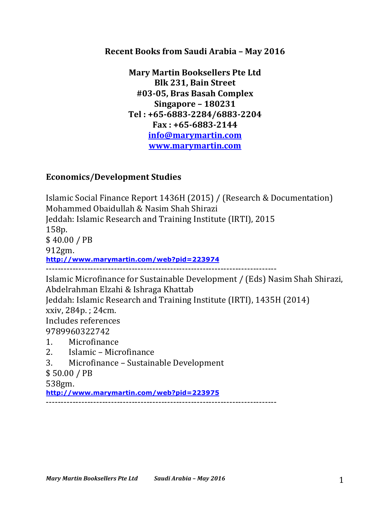## **Recent Books from Saudi Arabia - May 2016**

**Mary Martin Booksellers Pte Ltd Blk 231, Bain Street #03-05, Bras Basah Complex Singapore – 180231 Tel : +65-6883-2284/6883-2204 Fax : +65-6883-2144 info@marymartin.com www.marymartin.com**

## **Economics/Development Studies**

Islamic Social Finance Report 1436H (2015) / (Research & Documentation) Mohammed Obaidullah & Nasim Shah Shirazi Jeddah: Islamic Research and Training Institute (IRTI), 2015 158p. \$ 40.00 / PB 912gm. **http://www.marymartin.com/web?pid=223974** ------------------------------------------------------------------------------ Islamic Microfinance for Sustainable Development / (Eds) Nasim Shah Shirazi, Abdelrahman Elzahi & Ishraga Khattab Jeddah: Islamic Research and Training Institute (IRTI), 1435H (2014)  $xxiv, 284p.$ : 24cm. Includes references 9789960322742 1. Microfinance 2. Islamic – Microfinance 3. Microfinance - Sustainable Development \$ 50.00 / PB

## 538gm.

**http://www.marymartin.com/web?pid=223975**

------------------------------------------------------------------------------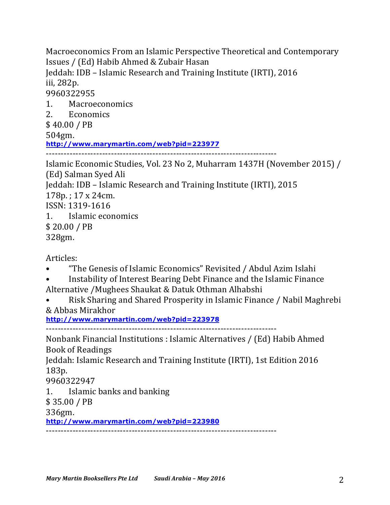Macroeconomics From an Islamic Perspective Theoretical and Contemporary Issues / (Ed) Habib Ahmed & Zubair Hasan Jeddah: IDB - Islamic Research and Training Institute (IRTI), 2016 iii, 282p. 9960322955 1. Macroeconomics 2. Economics \$ 40.00 / PB 504gm. **http://www.marymartin.com/web?pid=223977** ------------------------------------------------------------------------------ Islamic Economic Studies, Vol. 23 No 2, Muharram 1437H (November 2015) /

(Ed) Salman Syed Ali Jeddah: IDB - Islamic Research and Training Institute (IRTI), 2015  $178p.$ ;  $17 \times 24$ cm. ISSN: 1319-1616 1. Islamic economics

\$ 20.00 / PB

328gm.

Articles:

- "The Genesis of Islamic Economics" Revisited / Abdul Azim Islahi
- Instability of Interest Bearing Debt Finance and the Islamic Finance
- Alternative / Mughees Shaukat & Datuk Othman Alhabshi
- Risk Sharing and Shared Prosperity in Islamic Finance / Nabil Maghrebi & Abbas Mirakhor

**http://www.marymartin.com/web?pid=223978**

------------------------------------------------------------------------------

Nonbank Financial Institutions : Islamic Alternatives / (Ed) Habib Ahmed Book of Readings

Jeddah: Islamic Research and Training Institute (IRTI), 1st Edition 2016 183p.

9960322947

1. Islamic banks and banking

 $$35.00 / PB$ 

336gm.

**http://www.marymartin.com/web?pid=223980**

------------------------------------------------------------------------------